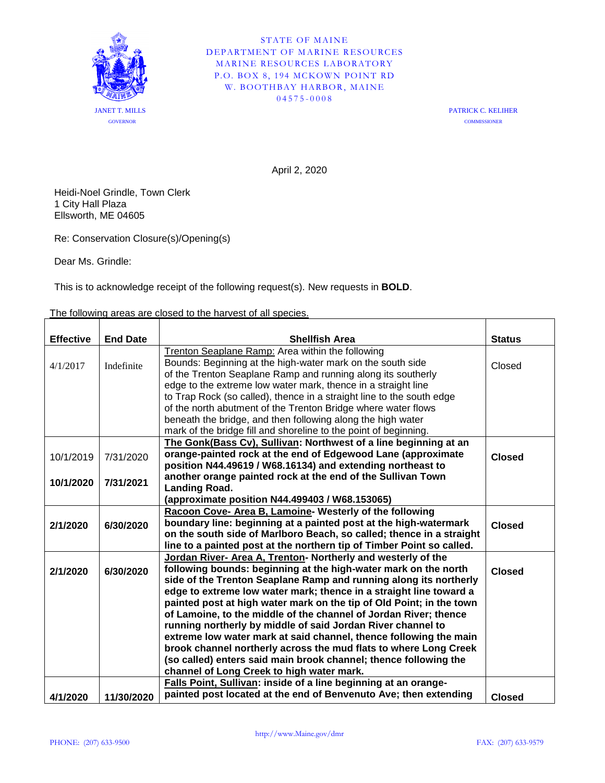

STATE OF MAINE DEPARTMENT OF MARINE RESOURCES MARINE RESOURCES LABORATORY P.O. BOX 8, 194 MCKOWN POINT RD W. BOOTHBAY HARBOR, MAINE 04575 - 0008

> PATRICK C. KELIHER **COMMISSIONER**

April 2, 2020

Heidi-Noel Grindle, Town Clerk 1 City Hall Plaza Ellsworth, ME 04605

Re: Conservation Closure(s)/Opening(s)

Dear Ms. Grindle:

This is to acknowledge receipt of the following request(s). New requests in **BOLD**.

The following areas are closed to the harvest of all species.

| <b>Effective</b> | <b>End Date</b> | <b>Shellfish Area</b>                                                 | <b>Status</b> |
|------------------|-----------------|-----------------------------------------------------------------------|---------------|
| 4/1/2017         |                 | Trenton Seaplane Ramp: Area within the following                      |               |
|                  | Indefinite      | Bounds: Beginning at the high-water mark on the south side            | Closed        |
|                  |                 | of the Trenton Seaplane Ramp and running along its southerly          |               |
|                  |                 | edge to the extreme low water mark, thence in a straight line         |               |
|                  |                 | to Trap Rock (so called), thence in a straight line to the south edge |               |
|                  |                 | of the north abutment of the Trenton Bridge where water flows         |               |
|                  |                 | beneath the bridge, and then following along the high water           |               |
|                  |                 | mark of the bridge fill and shoreline to the point of beginning.      |               |
|                  |                 | The Gonk(Bass Cv), Sullivan: Northwest of a line beginning at an      |               |
| 10/1/2019        | 7/31/2020       | orange-painted rock at the end of Edgewood Lane (approximate          | <b>Closed</b> |
|                  |                 | position N44.49619 / W68.16134) and extending northeast to            |               |
| 10/1/2020        | 7/31/2021       | another orange painted rock at the end of the Sullivan Town           |               |
|                  |                 | <b>Landing Road.</b>                                                  |               |
|                  |                 | (approximate position N44.499403 / W68.153065)                        |               |
| 2/1/2020         | 6/30/2020       | Racoon Cove- Area B, Lamoine- Westerly of the following               |               |
|                  |                 | boundary line: beginning at a painted post at the high-watermark      | <b>Closed</b> |
|                  |                 | on the south side of Marlboro Beach, so called; thence in a straight  |               |
|                  |                 | line to a painted post at the northern tip of Timber Point so called. |               |
|                  | 6/30/2020       | Jordan River- Area A, Trenton- Northerly and westerly of the          |               |
| 2/1/2020         |                 | following bounds: beginning at the high-water mark on the north       | <b>Closed</b> |
|                  |                 | side of the Trenton Seaplane Ramp and running along its northerly     |               |
|                  |                 | edge to extreme low water mark; thence in a straight line toward a    |               |
|                  |                 | painted post at high water mark on the tip of Old Point; in the town  |               |
|                  |                 | of Lamoine, to the middle of the channel of Jordan River; thence      |               |
|                  |                 | running northerly by middle of said Jordan River channel to           |               |
|                  |                 | extreme low water mark at said channel, thence following the main     |               |
|                  |                 | brook channel northerly across the mud flats to where Long Creek      |               |
|                  |                 | (so called) enters said main brook channel; thence following the      |               |
|                  |                 | channel of Long Creek to high water mark.                             |               |
|                  |                 | Falls Point, Sullivan: inside of a line beginning at an orange-       |               |
| 4/1/2020         | 11/30/2020      | painted post located at the end of Benvenuto Ave; then extending      | <b>Closed</b> |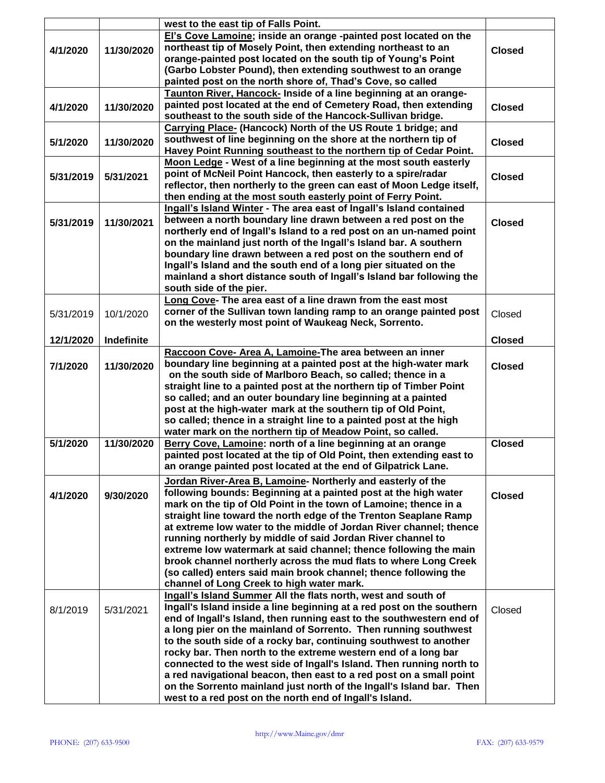|           |            | west to the east tip of Falls Point.                                                                                            |               |
|-----------|------------|---------------------------------------------------------------------------------------------------------------------------------|---------------|
|           |            | El's Cove Lamoine; inside an orange -painted post located on the                                                                |               |
| 4/1/2020  | 11/30/2020 | northeast tip of Mosely Point, then extending northeast to an                                                                   | <b>Closed</b> |
|           |            | orange-painted post located on the south tip of Young's Point                                                                   |               |
|           |            | (Garbo Lobster Pound), then extending southwest to an orange                                                                    |               |
|           |            | painted post on the north shore of, Thad's Cove, so called                                                                      |               |
|           |            | Taunton River, Hancock- Inside of a line beginning at an orange-                                                                |               |
| 4/1/2020  | 11/30/2020 | painted post located at the end of Cemetery Road, then extending                                                                | <b>Closed</b> |
|           |            | southeast to the south side of the Hancock-Sullivan bridge.                                                                     |               |
|           |            | Carrying Place- (Hancock) North of the US Route 1 bridge; and                                                                   |               |
| 5/1/2020  | 11/30/2020 | southwest of line beginning on the shore at the northern tip of                                                                 | <b>Closed</b> |
|           |            | Havey Point Running southeast to the northern tip of Cedar Point.                                                               |               |
|           |            | Moon Ledge - West of a line beginning at the most south easterly                                                                |               |
| 5/31/2019 | 5/31/2021  | point of McNeil Point Hancock, then easterly to a spire/radar                                                                   | <b>Closed</b> |
|           |            | reflector, then northerly to the green can east of Moon Ledge itself,                                                           |               |
|           |            | then ending at the most south easterly point of Ferry Point.                                                                    |               |
|           |            | Ingall's Island Winter - The area east of Ingall's Island contained                                                             |               |
|           | 11/30/2021 | between a north boundary line drawn between a red post on the                                                                   | <b>Closed</b> |
| 5/31/2019 |            | northerly end of Ingall's Island to a red post on an un-named point                                                             |               |
|           |            | on the mainland just north of the Ingall's Island bar. A southern                                                               |               |
|           |            | boundary line drawn between a red post on the southern end of                                                                   |               |
|           |            | Ingall's Island and the south end of a long pier situated on the                                                                |               |
|           |            | mainland a short distance south of Ingall's Island bar following the                                                            |               |
|           |            | south side of the pier.                                                                                                         |               |
|           |            | Long Cove- The area east of a line drawn from the east most                                                                     |               |
|           |            | corner of the Sullivan town landing ramp to an orange painted post                                                              |               |
| 5/31/2019 | 10/1/2020  | on the westerly most point of Waukeag Neck, Sorrento.                                                                           | Closed        |
|           |            |                                                                                                                                 |               |
| 12/1/2020 | Indefinite |                                                                                                                                 | <b>Closed</b> |
|           |            | Raccoon Cove- Area A, Lamoine-The area between an inner                                                                         |               |
| 7/1/2020  | 11/30/2020 | boundary line beginning at a painted post at the high-water mark                                                                | <b>Closed</b> |
|           |            | on the south side of Marlboro Beach, so called; thence in a                                                                     |               |
|           |            | straight line to a painted post at the northern tip of Timber Point                                                             |               |
|           |            | so called; and an outer boundary line beginning at a painted                                                                    |               |
|           |            | post at the high-water mark at the southern tip of Old Point,                                                                   |               |
|           |            | so called; thence in a straight line to a painted post at the high                                                              |               |
|           |            | water mark on the northern tip of Meadow Point, so called.                                                                      |               |
| 5/1/2020  |            |                                                                                                                                 |               |
|           | 11/30/2020 | Berry Cove, Lamoine: north of a line beginning at an orange                                                                     | <b>Closed</b> |
|           |            | painted post located at the tip of Old Point, then extending east to                                                            |               |
|           |            | an orange painted post located at the end of Gilpatrick Lane.                                                                   |               |
|           |            | Jordan River-Area B, Lamoine- Northerly and easterly of the                                                                     |               |
| 4/1/2020  | 9/30/2020  | following bounds: Beginning at a painted post at the high water                                                                 | <b>Closed</b> |
|           |            | mark on the tip of Old Point in the town of Lamoine; thence in a                                                                |               |
|           |            | straight line toward the north edge of the Trenton Seaplane Ramp                                                                |               |
|           |            | at extreme low water to the middle of Jordan River channel; thence                                                              |               |
|           |            | running northerly by middle of said Jordan River channel to                                                                     |               |
|           |            | extreme low watermark at said channel; thence following the main                                                                |               |
|           |            | brook channel northerly across the mud flats to where Long Creek                                                                |               |
|           |            | (so called) enters said main brook channel; thence following the                                                                |               |
|           |            | channel of Long Creek to high water mark.                                                                                       |               |
|           |            | Ingall's Island Summer All the flats north, west and south of                                                                   |               |
| 8/1/2019  | 5/31/2021  | Ingall's Island inside a line beginning at a red post on the southern                                                           | Closed        |
|           |            | end of Ingall's Island, then running east to the southwestern end of                                                            |               |
|           |            | a long pier on the mainland of Sorrento. Then running southwest                                                                 |               |
|           |            | to the south side of a rocky bar, continuing southwest to another                                                               |               |
|           |            | rocky bar. Then north to the extreme western end of a long bar                                                                  |               |
|           |            | connected to the west side of Ingall's Island. Then running north to                                                            |               |
|           |            | a red navigational beacon, then east to a red post on a small point                                                             |               |
|           |            | on the Sorrento mainland just north of the Ingall's Island bar. Then<br>west to a red post on the north end of Ingall's Island. |               |